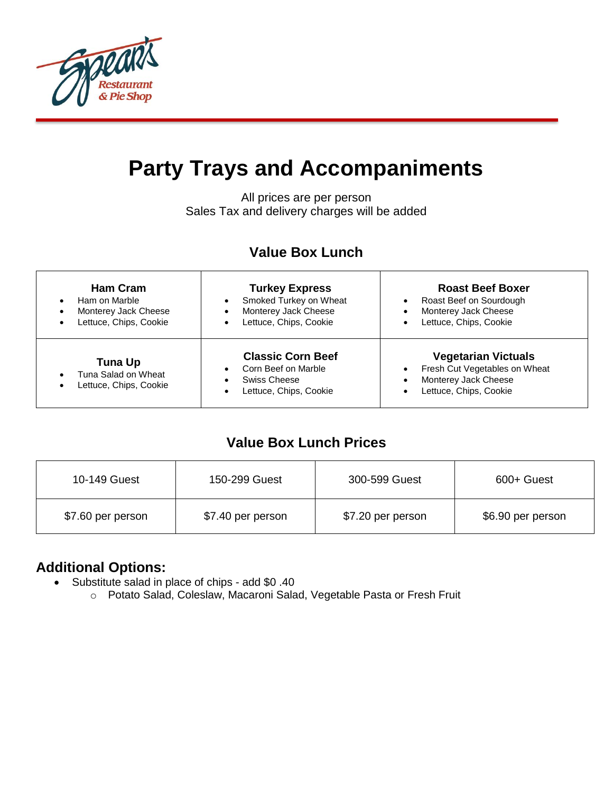

# **Party Trays and Accompaniments**

All prices are per person Sales Tax and delivery charges will be added

## **Value Box Lunch**

| <b>Ham Cram</b><br>Ham on Marble<br>$\bullet$<br>Monterey Jack Cheese<br>$\bullet$<br>Lettuce, Chips, Cookie | <b>Turkey Express</b><br>Smoked Turkey on Wheat<br>Monterey Jack Cheese<br>Lettuce, Chips, Cookie | <b>Roast Beef Boxer</b><br>Roast Beef on Sourdough<br>$\bullet$<br>Monterey Jack Cheese<br>$\bullet$<br>Lettuce, Chips, Cookie                       |
|--------------------------------------------------------------------------------------------------------------|---------------------------------------------------------------------------------------------------|------------------------------------------------------------------------------------------------------------------------------------------------------|
| <b>Tuna Up</b><br>Tuna Salad on Wheat<br>$\bullet$<br>Lettuce, Chips, Cookie<br>$\bullet$                    | <b>Classic Corn Beef</b><br>Corn Beef on Marble<br>Swiss Cheese<br>Lettuce, Chips, Cookie         | <b>Vegetarian Victuals</b><br>Fresh Cut Vegetables on Wheat<br>$\bullet$<br>Monterey Jack Cheese<br>$\bullet$<br>Lettuce, Chips, Cookie<br>$\bullet$ |

## **Value Box Lunch Prices**

| 10-149 Guest      | 150-299 Guest     | 300-599 Guest     | 600+ Guest        |
|-------------------|-------------------|-------------------|-------------------|
| \$7.60 per person | \$7.40 per person | \$7.20 per person | \$6.90 per person |

### **Additional Options:**

- Substitute salad in place of chips add \$0 .40
	- o Potato Salad, Coleslaw, Macaroni Salad, Vegetable Pasta or Fresh Fruit